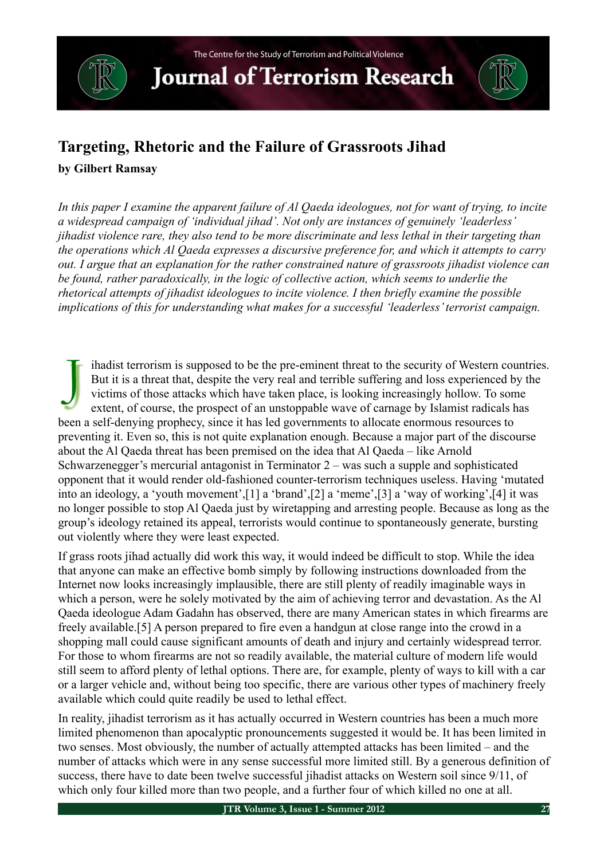**Journal of Terrorism Research** 

#### **Targeting, Rhetoric and the Failure of Grassroots Jihad**

#### **by Gilbert Ramsay**

*In this paper I examine the apparent failure of Al Qaeda ideologues, not for want of trying, to incite a widespread campaign of 'individual jihad'. Not only are instances of genuinely 'leaderless' jihadist violence rare, they also tend to be more discriminate and less lethal in their targeting than the operations which Al Qaeda expresses a discursive preference for, and which it attempts to carry out. I argue that an explanation for the rather constrained nature of grassroots jihadist violence can be found, rather paradoxically, in the logic of collective action, which seems to underlie the rhetorical attempts of jihadist ideologues to incite violence. I then briefly examine the possible implications of this for understanding what makes for a successful 'leaderless' terrorist campaign.*

ihadist terrorism is supposed to be the pre-eminent threat to the security of Western countries. But it is a threat that, despite the very real and terrible suffering and loss experienced by the victims of those attacks which have taken place, is looking increasingly hollow. To some extent, of course, the prospect of an unstoppable wave of carnage by Islamist radicals has been a self-denying prophecy, since it has led governments to allocate enormous resources to preventing it. Even so, this is not quite explanation enough. Because a major part of the discourse about the Al Qaeda threat has been premised on the idea that Al Qaeda – like Arnold Schwarzenegger's mercurial antagonist in Terminator 2 – was such a supple and sophisticated opponent that it would render old-fashioned counter-terrorism techniques useless. Having 'mutated into an ideology, a 'youth movement',[1] a 'brand',[2] a 'meme',[3] a 'way of working',[4] it was no longer possible to stop Al Qaeda just by wiretapping and arresting people. Because as long as the group's ideology retained its appeal, terrorists would continue to spontaneously generate, bursting out violently where they were least expected. J

If grass roots jihad actually did work this way, it would indeed be difficult to stop. While the idea that anyone can make an effective bomb simply by following instructions downloaded from the Internet now looks increasingly implausible, there are still plenty of readily imaginable ways in which a person, were he solely motivated by the aim of achieving terror and devastation. As the Al Qaeda ideologue Adam Gadahn has observed, there are many American states in which firearms are freely available.[5] A person prepared to fire even a handgun at close range into the crowd in a shopping mall could cause significant amounts of death and injury and certainly widespread terror. For those to whom firearms are not so readily available, the material culture of modern life would still seem to afford plenty of lethal options. There are, for example, plenty of ways to kill with a car or a larger vehicle and, without being too specific, there are various other types of machinery freely available which could quite readily be used to lethal effect.

In reality, jihadist terrorism as it has actually occurred in Western countries has been a much more limited phenomenon than apocalyptic pronouncements suggested it would be. It has been limited in two senses. Most obviously, the number of actually attempted attacks has been limited – and the number of attacks which were in any sense successful more limited still. By a generous definition of success, there have to date been twelve successful jihadist attacks on Western soil since 9/11, of which only four killed more than two people, and a further four of which killed no one at all.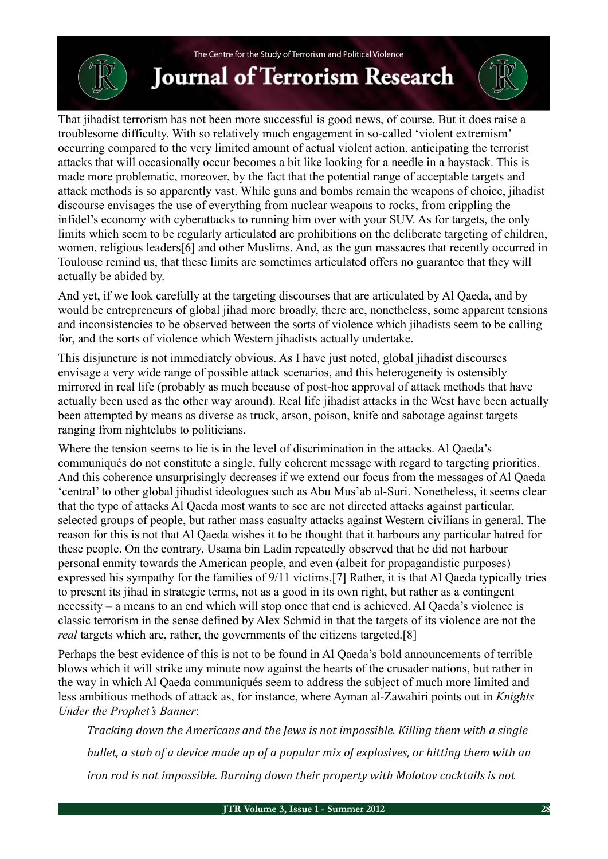## **Journal of Terrorism Research**

That jihadist terrorism has not been more successful is good news, of course. But it does raise a troublesome difficulty. With so relatively much engagement in so-called 'violent extremism' occurring compared to the very limited amount of actual violent action, anticipating the terrorist attacks that will occasionally occur becomes a bit like looking for a needle in a haystack. This is made more problematic, moreover, by the fact that the potential range of acceptable targets and attack methods is so apparently vast. While guns and bombs remain the weapons of choice, jihadist discourse envisages the use of everything from nuclear weapons to rocks, from crippling the infidel's economy with cyberattacks to running him over with your SUV. As for targets, the only limits which seem to be regularly articulated are prohibitions on the deliberate targeting of children, women, religious leaders[6] and other Muslims. And, as the gun massacres that recently occurred in Toulouse remind us, that these limits are sometimes articulated offers no guarantee that they will actually be abided by.

And yet, if we look carefully at the targeting discourses that are articulated by Al Qaeda, and by would be entrepreneurs of global jihad more broadly, there are, nonetheless, some apparent tensions and inconsistencies to be observed between the sorts of violence which jihadists seem to be calling for, and the sorts of violence which Western jihadists actually undertake.

This disjuncture is not immediately obvious. As I have just noted, global jihadist discourses envisage a very wide range of possible attack scenarios, and this heterogeneity is ostensibly mirrored in real life (probably as much because of post-hoc approval of attack methods that have actually been used as the other way around). Real life jihadist attacks in the West have been actually been attempted by means as diverse as truck, arson, poison, knife and sabotage against targets ranging from nightclubs to politicians.

Where the tension seems to lie is in the level of discrimination in the attacks. Al Qaeda's communiqués do not constitute a single, fully coherent message with regard to targeting priorities. And this coherence unsurprisingly decreases if we extend our focus from the messages of Al Qaeda 'central' to other global jihadist ideologues such as Abu Mus'ab al-Suri. Nonetheless, it seems clear that the type of attacks Al Qaeda most wants to see are not directed attacks against particular, selected groups of people, but rather mass casualty attacks against Western civilians in general. The reason for this is not that Al Qaeda wishes it to be thought that it harbours any particular hatred for these people. On the contrary, Usama bin Ladin repeatedly observed that he did not harbour personal enmity towards the American people, and even (albeit for propagandistic purposes) expressed his sympathy for the families of 9/11 victims.[7] Rather, it is that Al Qaeda typically tries to present its jihad in strategic terms, not as a good in its own right, but rather as a contingent necessity – a means to an end which will stop once that end is achieved. Al Qaeda's violence is classic terrorism in the sense defined by Alex Schmid in that the targets of its violence are not the *real* targets which are, rather, the governments of the citizens targeted.[8]

Perhaps the best evidence of this is not to be found in Al Qaeda's bold announcements of terrible blows which it will strike any minute now against the hearts of the crusader nations, but rather in the way in which Al Qaeda communiqués seem to address the subject of much more limited and less ambitious methods of attack as, for instance, where Ayman al-Zawahiri points out in *Knights Under the Prophet's Banner*:

*Tracking down the Americans and the Jews is not impossible. Killing them with a single bullet, a stab of a device made up of a popular mix of explosives, or hitting them with an iron rod is not impossible. Burning down their property with Molotov cocktails is not*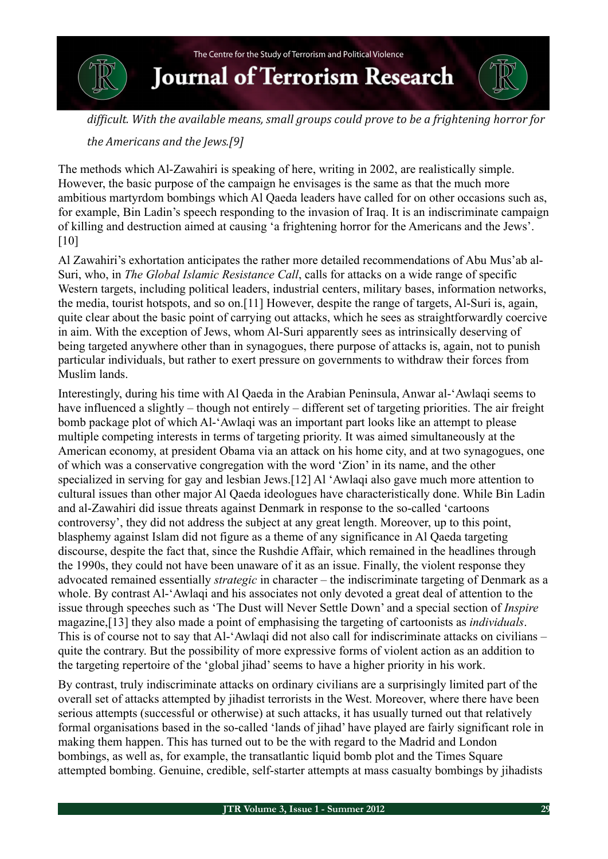

difficult. With the available means, small aroups could prove to be a frightening horror for

#### *the Americans and the Jews.[9]*

The methods which Al-Zawahiri is speaking of here, writing in 2002, are realistically simple. However, the basic purpose of the campaign he envisages is the same as that the much more ambitious martyrdom bombings which Al Qaeda leaders have called for on other occasions such as, for example, Bin Ladin's speech responding to the invasion of Iraq. It is an indiscriminate campaign of killing and destruction aimed at causing 'a frightening horror for the Americans and the Jews'. [10]

Al Zawahiri's exhortation anticipates the rather more detailed recommendations of Abu Mus'ab al-Suri, who, in *The Global Islamic Resistance Call*, calls for attacks on a wide range of specific Western targets, including political leaders, industrial centers, military bases, information networks, the media, tourist hotspots, and so on.[11] However, despite the range of targets, Al-Suri is, again, quite clear about the basic point of carrying out attacks, which he sees as straightforwardly coercive in aim. With the exception of Jews, whom Al-Suri apparently sees as intrinsically deserving of being targeted anywhere other than in synagogues, there purpose of attacks is, again, not to punish particular individuals, but rather to exert pressure on governments to withdraw their forces from Muslim lands.

Interestingly, during his time with Al Qaeda in the Arabian Peninsula, Anwar al-'Awlaqi seems to have influenced a slightly – though not entirely – different set of targeting priorities. The air freight bomb package plot of which Al-'Awlaqi was an important part looks like an attempt to please multiple competing interests in terms of targeting priority. It was aimed simultaneously at the American economy, at president Obama via an attack on his home city, and at two synagogues, one of which was a conservative congregation with the word 'Zion' in its name, and the other specialized in serving for gay and lesbian Jews.[12] Al 'Awlaqi also gave much more attention to cultural issues than other major Al Qaeda ideologues have characteristically done. While Bin Ladin and al-Zawahiri did issue threats against Denmark in response to the so-called 'cartoons controversy', they did not address the subject at any great length. Moreover, up to this point, blasphemy against Islam did not figure as a theme of any significance in Al Qaeda targeting discourse, despite the fact that, since the Rushdie Affair, which remained in the headlines through the 1990s, they could not have been unaware of it as an issue. Finally, the violent response they advocated remained essentially *strategic* in character – the indiscriminate targeting of Denmark as a whole. By contrast Al-'Awlaqi and his associates not only devoted a great deal of attention to the issue through speeches such as 'The Dust will Never Settle Down' and a special section of *Inspire* magazine,[13] they also made a point of emphasising the targeting of cartoonists as *individuals*. This is of course not to say that Al-'Awlaqi did not also call for indiscriminate attacks on civilians – quite the contrary. But the possibility of more expressive forms of violent action as an addition to the targeting repertoire of the 'global jihad' seems to have a higher priority in his work.

By contrast, truly indiscriminate attacks on ordinary civilians are a surprisingly limited part of the overall set of attacks attempted by jihadist terrorists in the West. Moreover, where there have been serious attempts (successful or otherwise) at such attacks, it has usually turned out that relatively formal organisations based in the so-called 'lands of jihad' have played are fairly significant role in making them happen. This has turned out to be the with regard to the Madrid and London bombings, as well as, for example, the transatlantic liquid bomb plot and the Times Square attempted bombing. Genuine, credible, self-starter attempts at mass casualty bombings by jihadists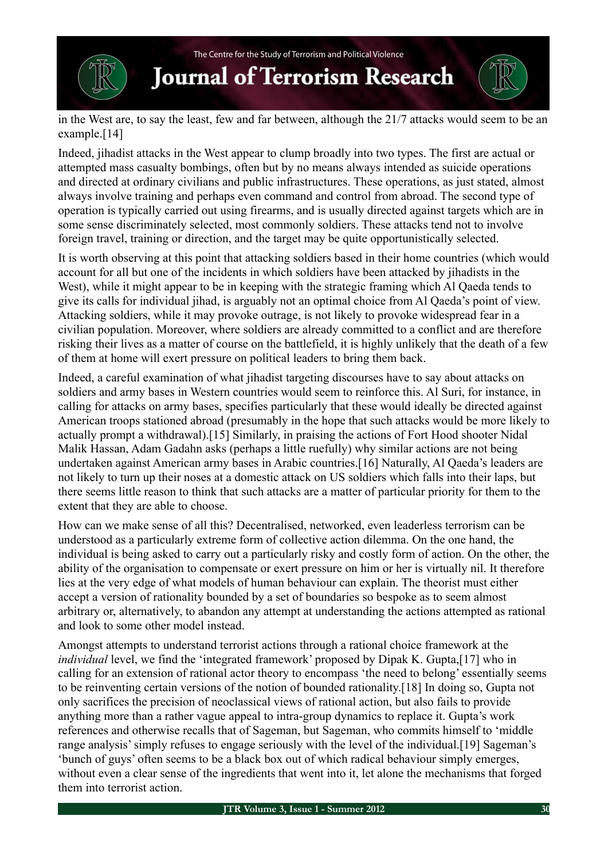**Journal of Terrorism Research** 

in the West are, to say the least, few and far between, although the 21/7 attacks would seem to be an example.[14]

Indeed, jihadist attacks in the West appear to clump broadly into two types. The first are actual or attempted mass casualty bombings, often but by no means always intended as suicide operations and directed at ordinary civilians and public infrastructures. These operations, as just stated, almost always involve training and perhaps even command and control from abroad. The second type of operation is typically carried out using firearms, and is usually directed against targets which are in some sense discriminately selected, most commonly soldiers. These attacks tend not to involve foreign travel, training or direction, and the target may be quite opportunistically selected.

It is worth observing at this point that attacking soldiers based in their home countries (which would account for all but one of the incidents in which soldiers have been attacked by jihadists in the West), while it might appear to be in keeping with the strategic framing which Al Qaeda tends to give its calls for individual jihad, is arguably not an optimal choice from Al Qaeda's point of view. Attacking soldiers, while it may provoke outrage, is not likely to provoke widespread fear in a civilian population. Moreover, where soldiers are already committed to a conflict and are therefore risking their lives as a matter of course on the battlefield, it is highly unlikely that the death of a few of them at home will exert pressure on political leaders to bring them back.

Indeed, a careful examination of what jihadist targeting discourses have to say about attacks on soldiers and army bases in Western countries would seem to reinforce this. Al Suri, for instance, in calling for attacks on army bases, specifies particularly that these would ideally be directed against American troops stationed abroad (presumably in the hope that such attacks would be more likely to actually prompt a withdrawal).[15] Similarly, in praising the actions of Fort Hood shooter Nidal Malik Hassan, Adam Gadahn asks (perhaps a little ruefully) why similar actions are not being undertaken against American army bases in Arabic countries.[16] Naturally, Al Qaeda's leaders are not likely to turn up their noses at a domestic attack on US soldiers which falls into their laps, but there seems little reason to think that such attacks are a matter of particular priority for them to the extent that they are able to choose.

How can we make sense of all this? Decentralised, networked, even leaderless terrorism can be understood as a particularly extreme form of collective action dilemma. On the one hand, the individual is being asked to carry out a particularly risky and costly form of action. On the other, the ability of the organisation to compensate or exert pressure on him or her is virtually nil. It therefore lies at the very edge of what models of human behaviour can explain. The theorist must either accept a version of rationality bounded by a set of boundaries so bespoke as to seem almost arbitrary or, alternatively, to abandon any attempt at understanding the actions attempted as rational and look to some other model instead.

Amongst attempts to understand terrorist actions through a rational choice framework at the *individual* level, we find the 'integrated framework' proposed by Dipak K. Gupta,[17] who in calling for an extension of rational actor theory to encompass 'the need to belong' essentially seems to be reinventing certain versions of the notion of bounded rationality.[18] In doing so, Gupta not only sacrifices the precision of neoclassical views of rational action, but also fails to provide anything more than a rather vague appeal to intra-group dynamics to replace it. Gupta's work references and otherwise recalls that of Sageman, but Sageman, who commits himself to 'middle range analysis' simply refuses to engage seriously with the level of the individual.[19] Sageman's 'bunch of guys' often seems to be a black box out of which radical behaviour simply emerges, without even a clear sense of the ingredients that went into it, let alone the mechanisms that forged them into terrorist action.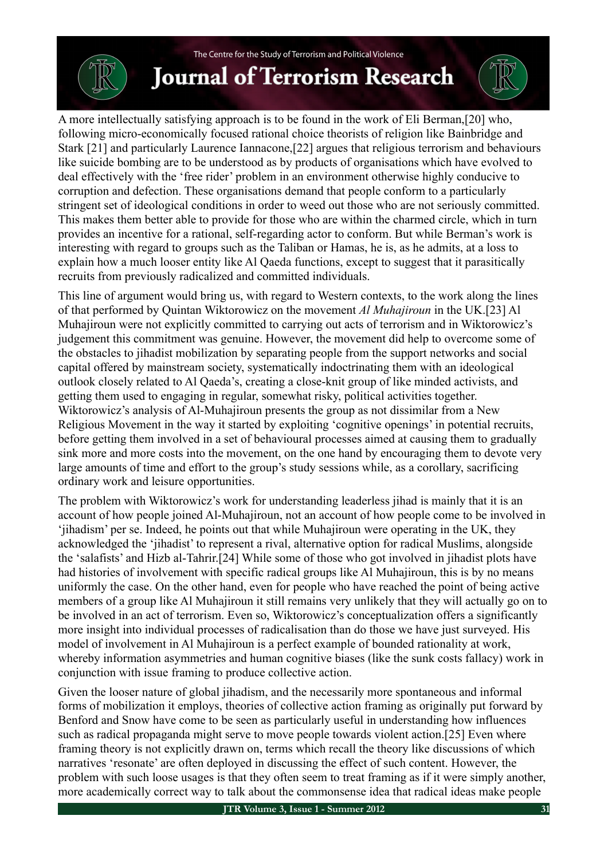A more intellectually satisfying approach is to be found in the work of Eli Berman,[20] who, following micro-economically focused rational choice theorists of religion like Bainbridge and Stark [21] and particularly Laurence Iannacone,[22] argues that religious terrorism and behaviours like suicide bombing are to be understood as by products of organisations which have evolved to deal effectively with the 'free rider' problem in an environment otherwise highly conducive to corruption and defection. These organisations demand that people conform to a particularly stringent set of ideological conditions in order to weed out those who are not seriously committed. This makes them better able to provide for those who are within the charmed circle, which in turn provides an incentive for a rational, self-regarding actor to conform. But while Berman's work is interesting with regard to groups such as the Taliban or Hamas, he is, as he admits, at a loss to explain how a much looser entity like Al Qaeda functions, except to suggest that it parasitically recruits from previously radicalized and committed individuals.

This line of argument would bring us, with regard to Western contexts, to the work along the lines of that performed by Quintan Wiktorowicz on the movement *Al Muhajiroun* in the UK.[23] Al Muhajiroun were not explicitly committed to carrying out acts of terrorism and in Wiktorowicz's judgement this commitment was genuine. However, the movement did help to overcome some of the obstacles to jihadist mobilization by separating people from the support networks and social capital offered by mainstream society, systematically indoctrinating them with an ideological outlook closely related to Al Qaeda's, creating a close-knit group of like minded activists, and getting them used to engaging in regular, somewhat risky, political activities together. Wiktorowicz's analysis of Al-Muhajiroun presents the group as not dissimilar from a New Religious Movement in the way it started by exploiting 'cognitive openings' in potential recruits, before getting them involved in a set of behavioural processes aimed at causing them to gradually sink more and more costs into the movement, on the one hand by encouraging them to devote very large amounts of time and effort to the group's study sessions while, as a corollary, sacrificing ordinary work and leisure opportunities.

The problem with Wiktorowicz's work for understanding leaderless jihad is mainly that it is an account of how people joined Al-Muhajiroun, not an account of how people come to be involved in 'jihadism' per se. Indeed, he points out that while Muhajiroun were operating in the UK, they acknowledged the 'jihadist' to represent a rival, alternative option for radical Muslims, alongside the 'salafists' and Hizb al-Tahrir.[24] While some of those who got involved in jihadist plots have had histories of involvement with specific radical groups like Al Muhajiroun, this is by no means uniformly the case. On the other hand, even for people who have reached the point of being active members of a group like Al Muhajiroun it still remains very unlikely that they will actually go on to be involved in an act of terrorism. Even so, Wiktorowicz's conceptualization offers a significantly more insight into individual processes of radicalisation than do those we have just surveyed. His model of involvement in Al Muhajiroun is a perfect example of bounded rationality at work, whereby information asymmetries and human cognitive biases (like the sunk costs fallacy) work in conjunction with issue framing to produce collective action.

Given the looser nature of global jihadism, and the necessarily more spontaneous and informal forms of mobilization it employs, theories of collective action framing as originally put forward by Benford and Snow have come to be seen as particularly useful in understanding how influences such as radical propaganda might serve to move people towards violent action.[25] Even where framing theory is not explicitly drawn on, terms which recall the theory like discussions of which narratives 'resonate' are often deployed in discussing the effect of such content. However, the problem with such loose usages is that they often seem to treat framing as if it were simply another, more academically correct way to talk about the commonsense idea that radical ideas make people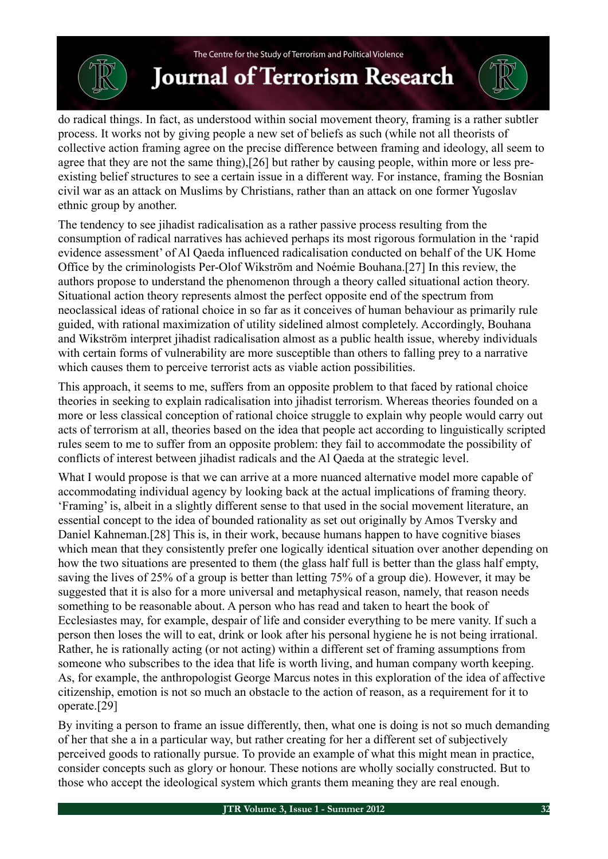do radical things. In fact, as understood within social movement theory, framing is a rather subtler process. It works not by giving people a new set of beliefs as such (while not all theorists of collective action framing agree on the precise difference between framing and ideology, all seem to agree that they are not the same thing),[26] but rather by causing people, within more or less preexisting belief structures to see a certain issue in a different way. For instance, framing the Bosnian civil war as an attack on Muslims by Christians, rather than an attack on one former Yugoslav ethnic group by another.

The tendency to see jihadist radicalisation as a rather passive process resulting from the consumption of radical narratives has achieved perhaps its most rigorous formulation in the 'rapid evidence assessment' of Al Qaeda influenced radicalisation conducted on behalf of the UK Home Office by the criminologists Per-Olof Wikström and Noémie Bouhana.[27] In this review, the authors propose to understand the phenomenon through a theory called situational action theory. Situational action theory represents almost the perfect opposite end of the spectrum from neoclassical ideas of rational choice in so far as it conceives of human behaviour as primarily rule guided, with rational maximization of utility sidelined almost completely. Accordingly, Bouhana and Wikström interpret jihadist radicalisation almost as a public health issue, whereby individuals with certain forms of vulnerability are more susceptible than others to falling prey to a narrative which causes them to perceive terrorist acts as viable action possibilities.

This approach, it seems to me, suffers from an opposite problem to that faced by rational choice theories in seeking to explain radicalisation into jihadist terrorism. Whereas theories founded on a more or less classical conception of rational choice struggle to explain why people would carry out acts of terrorism at all, theories based on the idea that people act according to linguistically scripted rules seem to me to suffer from an opposite problem: they fail to accommodate the possibility of conflicts of interest between jihadist radicals and the Al Qaeda at the strategic level.

What I would propose is that we can arrive at a more nuanced alternative model more capable of accommodating individual agency by looking back at the actual implications of framing theory. 'Framing' is, albeit in a slightly different sense to that used in the social movement literature, an essential concept to the idea of bounded rationality as set out originally by Amos Tversky and Daniel Kahneman.[28] This is, in their work, because humans happen to have cognitive biases which mean that they consistently prefer one logically identical situation over another depending on how the two situations are presented to them (the glass half full is better than the glass half empty, saving the lives of 25% of a group is better than letting 75% of a group die). However, it may be suggested that it is also for a more universal and metaphysical reason, namely, that reason needs something to be reasonable about. A person who has read and taken to heart the book of Ecclesiastes may, for example, despair of life and consider everything to be mere vanity. If such a person then loses the will to eat, drink or look after his personal hygiene he is not being irrational. Rather, he is rationally acting (or not acting) within a different set of framing assumptions from someone who subscribes to the idea that life is worth living, and human company worth keeping. As, for example, the anthropologist George Marcus notes in this exploration of the idea of affective citizenship, emotion is not so much an obstacle to the action of reason, as a requirement for it to operate.[29]

By inviting a person to frame an issue differently, then, what one is doing is not so much demanding of her that she a in a particular way, but rather creating for her a different set of subjectively perceived goods to rationally pursue. To provide an example of what this might mean in practice, consider concepts such as glory or honour. These notions are wholly socially constructed. But to those who accept the ideological system which grants them meaning they are real enough.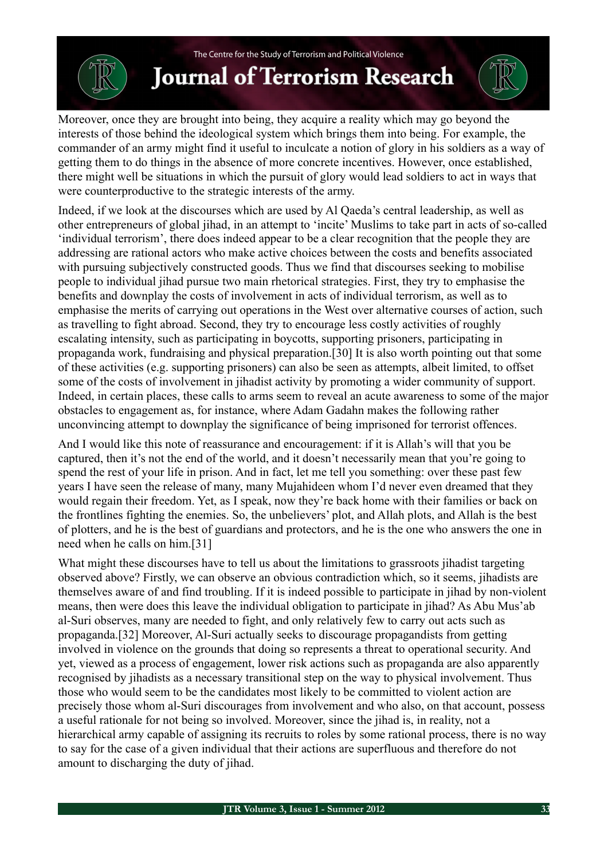### **Journal of Terrorism Research**

Moreover, once they are brought into being, they acquire a reality which may go beyond the interests of those behind the ideological system which brings them into being. For example, the commander of an army might find it useful to inculcate a notion of glory in his soldiers as a way of getting them to do things in the absence of more concrete incentives. However, once established, there might well be situations in which the pursuit of glory would lead soldiers to act in ways that were counterproductive to the strategic interests of the army.

Indeed, if we look at the discourses which are used by Al Qaeda's central leadership, as well as other entrepreneurs of global jihad, in an attempt to 'incite' Muslims to take part in acts of so-called 'individual terrorism', there does indeed appear to be a clear recognition that the people they are addressing are rational actors who make active choices between the costs and benefits associated with pursuing subjectively constructed goods. Thus we find that discourses seeking to mobilise people to individual jihad pursue two main rhetorical strategies. First, they try to emphasise the benefits and downplay the costs of involvement in acts of individual terrorism, as well as to emphasise the merits of carrying out operations in the West over alternative courses of action, such as travelling to fight abroad. Second, they try to encourage less costly activities of roughly escalating intensity, such as participating in boycotts, supporting prisoners, participating in propaganda work, fundraising and physical preparation.[30] It is also worth pointing out that some of these activities (e.g. supporting prisoners) can also be seen as attempts, albeit limited, to offset some of the costs of involvement in jihadist activity by promoting a wider community of support. Indeed, in certain places, these calls to arms seem to reveal an acute awareness to some of the major obstacles to engagement as, for instance, where Adam Gadahn makes the following rather unconvincing attempt to downplay the significance of being imprisoned for terrorist offences.

And I would like this note of reassurance and encouragement: if it is Allah's will that you be captured, then it's not the end of the world, and it doesn't necessarily mean that you're going to spend the rest of your life in prison. And in fact, let me tell you something: over these past few years I have seen the release of many, many Mujahideen whom I'd never even dreamed that they would regain their freedom. Yet, as I speak, now they're back home with their families or back on the frontlines fighting the enemies. So, the unbelievers' plot, and Allah plots, and Allah is the best of plotters, and he is the best of guardians and protectors, and he is the one who answers the one in need when he calls on him.[31]

What might these discourses have to tell us about the limitations to grassroots jihadist targeting observed above? Firstly, we can observe an obvious contradiction which, so it seems, jihadists are themselves aware of and find troubling. If it is indeed possible to participate in jihad by non-violent means, then were does this leave the individual obligation to participate in jihad? As Abu Mus'ab al-Suri observes, many are needed to fight, and only relatively few to carry out acts such as propaganda.[32] Moreover, Al-Suri actually seeks to discourage propagandists from getting involved in violence on the grounds that doing so represents a threat to operational security. And yet, viewed as a process of engagement, lower risk actions such as propaganda are also apparently recognised by jihadists as a necessary transitional step on the way to physical involvement. Thus those who would seem to be the candidates most likely to be committed to violent action are precisely those whom al-Suri discourages from involvement and who also, on that account, possess a useful rationale for not being so involved. Moreover, since the jihad is, in reality, not a hierarchical army capable of assigning its recruits to roles by some rational process, there is no way to say for the case of a given individual that their actions are superfluous and therefore do not amount to discharging the duty of jihad.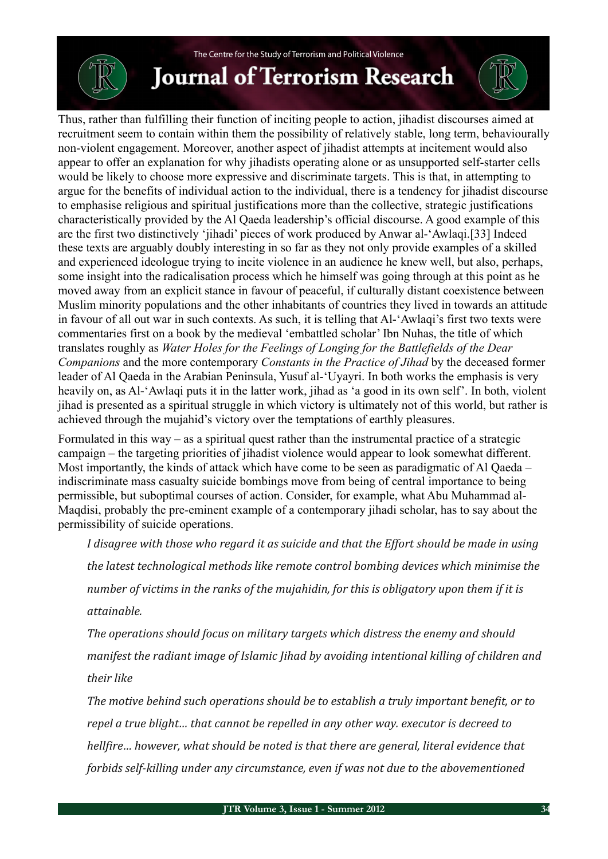

Thus, rather than fulfilling their function of inciting people to action, jihadist discourses aimed at recruitment seem to contain within them the possibility of relatively stable, long term, behaviourally non-violent engagement. Moreover, another aspect of jihadist attempts at incitement would also appear to offer an explanation for why jihadists operating alone or as unsupported self-starter cells would be likely to choose more expressive and discriminate targets. This is that, in attempting to argue for the benefits of individual action to the individual, there is a tendency for jihadist discourse to emphasise religious and spiritual justifications more than the collective, strategic justifications characteristically provided by the Al Qaeda leadership's official discourse. A good example of this are the first two distinctively 'jihadi' pieces of work produced by Anwar al-'Awlaqi.[33] Indeed these texts are arguably doubly interesting in so far as they not only provide examples of a skilled and experienced ideologue trying to incite violence in an audience he knew well, but also, perhaps, some insight into the radicalisation process which he himself was going through at this point as he moved away from an explicit stance in favour of peaceful, if culturally distant coexistence between Muslim minority populations and the other inhabitants of countries they lived in towards an attitude in favour of all out war in such contexts. As such, it is telling that Al-'Awlaqi's first two texts were commentaries first on a book by the medieval 'embattled scholar' Ibn Nuhas, the title of which translates roughly as *Water Holes for the Feelings of Longing for the Battlefields of the Dear Companions* and the more contemporary *Constants in the Practice of Jihad* by the deceased former leader of Al Qaeda in the Arabian Peninsula, Yusuf al-'Uyayri. In both works the emphasis is very heavily on, as Al-'Awlaqi puts it in the latter work, jihad as 'a good in its own self'. In both, violent jihad is presented as a spiritual struggle in which victory is ultimately not of this world, but rather is achieved through the mujahid's victory over the temptations of earthly pleasures.

Formulated in this way – as a spiritual quest rather than the instrumental practice of a strategic campaign – the targeting priorities of jihadist violence would appear to look somewhat different. Most importantly, the kinds of attack which have come to be seen as paradigmatic of Al Qaeda – indiscriminate mass casualty suicide bombings move from being of central importance to being permissible, but suboptimal courses of action. Consider, for example, what Abu Muhammad al-Maqdisi, probably the pre-eminent example of a contemporary jihadi scholar, has to say about the permissibility of suicide operations.

I disagree with those who regard it as suicide and that the *Effort should be made in using* the latest technological methods like remote control bombing devices which minimise the *number of victims in the ranks of the mujahidin, for this is obligatory upon them if it is attainable.*

The operations should focus on military targets which distress the enemy and should *manifest the radiant image of Islamic Jihad by avoiding intentional killing of children and their like*

The motive behind such operations should be to establish a truly important benefit, or to *repel a true blight... that cannot be repelled in any other way. executor is decreed to hellfire... however, what should be noted is that there are general, literal evidence that forbids self-killing under any circumstance, even if was not due to the abovementioned*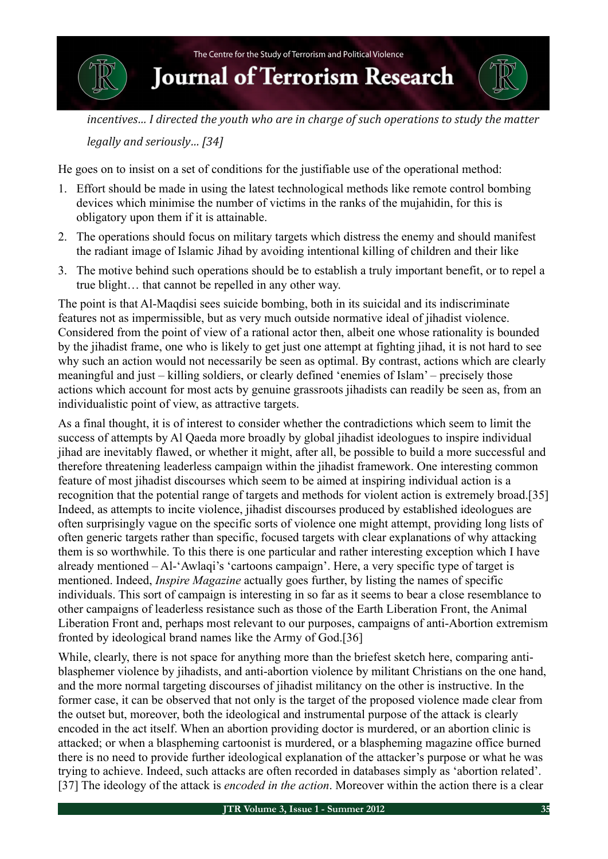

*incentives...* I directed the vouth who are in charge of such operations to study the matter

*legally and seriously...* [34]

He goes on to insist on a set of conditions for the justifiable use of the operational method:

- 1. Effort should be made in using the latest technological methods like remote control bombing devices which minimise the number of victims in the ranks of the mujahidin, for this is obligatory upon them if it is attainable.
- 2. The operations should focus on military targets which distress the enemy and should manifest the radiant image of Islamic Jihad by avoiding intentional killing of children and their like
- 3. The motive behind such operations should be to establish a truly important benefit, or to repel a true blight… that cannot be repelled in any other way.

The point is that Al-Maqdisi sees suicide bombing, both in its suicidal and its indiscriminate features not as impermissible, but as very much outside normative ideal of jihadist violence. Considered from the point of view of a rational actor then, albeit one whose rationality is bounded by the jihadist frame, one who is likely to get just one attempt at fighting jihad, it is not hard to see why such an action would not necessarily be seen as optimal. By contrast, actions which are clearly meaningful and just – killing soldiers, or clearly defined 'enemies of Islam' – precisely those actions which account for most acts by genuine grassroots jihadists can readily be seen as, from an individualistic point of view, as attractive targets.

As a final thought, it is of interest to consider whether the contradictions which seem to limit the success of attempts by Al Qaeda more broadly by global jihadist ideologues to inspire individual jihad are inevitably flawed, or whether it might, after all, be possible to build a more successful and therefore threatening leaderless campaign within the jihadist framework. One interesting common feature of most jihadist discourses which seem to be aimed at inspiring individual action is a recognition that the potential range of targets and methods for violent action is extremely broad.[35] Indeed, as attempts to incite violence, jihadist discourses produced by established ideologues are often surprisingly vague on the specific sorts of violence one might attempt, providing long lists of often generic targets rather than specific, focused targets with clear explanations of why attacking them is so worthwhile. To this there is one particular and rather interesting exception which I have already mentioned – Al-'Awlaqi's 'cartoons campaign'. Here, a very specific type of target is mentioned. Indeed, *Inspire Magazine* actually goes further, by listing the names of specific individuals. This sort of campaign is interesting in so far as it seems to bear a close resemblance to other campaigns of leaderless resistance such as those of the Earth Liberation Front, the Animal Liberation Front and, perhaps most relevant to our purposes, campaigns of anti-Abortion extremism fronted by ideological brand names like the Army of God.[36]

While, clearly, there is not space for anything more than the briefest sketch here, comparing antiblasphemer violence by jihadists, and anti-abortion violence by militant Christians on the one hand, and the more normal targeting discourses of jihadist militancy on the other is instructive. In the former case, it can be observed that not only is the target of the proposed violence made clear from the outset but, moreover, both the ideological and instrumental purpose of the attack is clearly encoded in the act itself. When an abortion providing doctor is murdered, or an abortion clinic is attacked; or when a blaspheming cartoonist is murdered, or a blaspheming magazine office burned there is no need to provide further ideological explanation of the attacker's purpose or what he was trying to achieve. Indeed, such attacks are often recorded in databases simply as 'abortion related'. [37] The ideology of the attack is *encoded in the action*. Moreover within the action there is a clear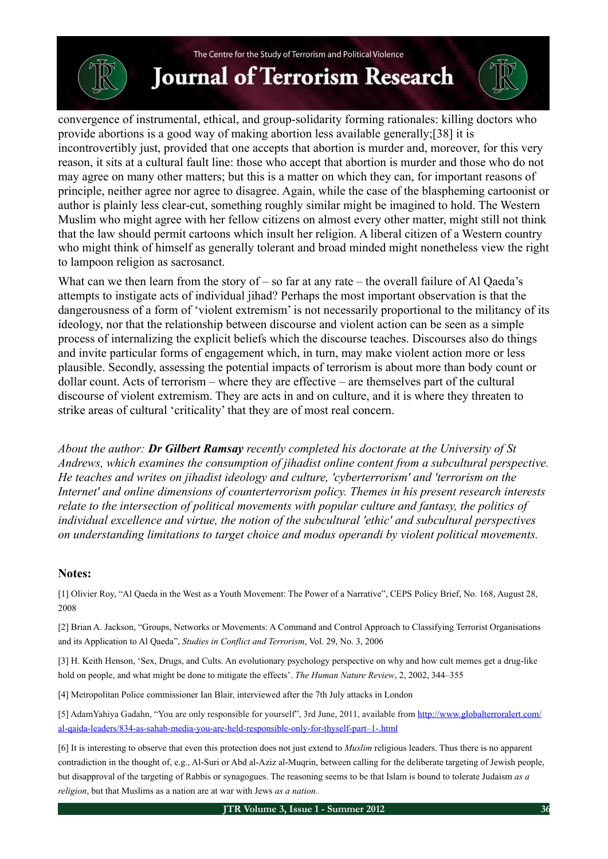# **Journal of Terrorism Research**

convergence of instrumental, ethical, and group-solidarity forming rationales: killing doctors who provide abortions is a good way of making abortion less available generally;[38] it is incontrovertibly just, provided that one accepts that abortion is murder and, moreover, for this very reason, it sits at a cultural fault line: those who accept that abortion is murder and those who do not may agree on many other matters; but this is a matter on which they can, for important reasons of principle, neither agree nor agree to disagree. Again, while the case of the blaspheming cartoonist or author is plainly less clear-cut, something roughly similar might be imagined to hold. The Western Muslim who might agree with her fellow citizens on almost every other matter, might still not think that the law should permit cartoons which insult her religion. A liberal citizen of a Western country who might think of himself as generally tolerant and broad minded might nonetheless view the right to lampoon religion as sacrosanct.

What can we then learn from the story of  $-$  so far at any rate  $-$  the overall failure of Al Qaeda's attempts to instigate acts of individual jihad? Perhaps the most important observation is that the dangerousness of a form of 'violent extremism' is not necessarily proportional to the militancy of its ideology, nor that the relationship between discourse and violent action can be seen as a simple process of internalizing the explicit beliefs which the discourse teaches. Discourses also do things and invite particular forms of engagement which, in turn, may make violent action more or less plausible. Secondly, assessing the potential impacts of terrorism is about more than body count or dollar count. Acts of terrorism – where they are effective – are themselves part of the cultural discourse of violent extremism. They are acts in and on culture, and it is where they threaten to strike areas of cultural 'criticality' that they are of most real concern.

*About the author: Dr Gilbert Ramsay recently completed his doctorate at the University of St Andrews, which examines the consumption of jihadist online content from a subcultural perspective. He teaches and writes on jihadist ideology and culture, 'cyberterrorism' and 'terrorism on the Internet' and online dimensions of counterterrorism policy. Themes in his present research interests relate to the intersection of political movements with popular culture and fantasy, the politics of individual excellence and virtue, the notion of the subcultural 'ethic' and subcultural perspectives on understanding limitations to target choice and modus operandi by violent political movements.*

#### **Notes:**

[1] Olivier Roy, "Al Qaeda in the West as a Youth Movement: The Power of a Narrative", CEPS Policy Brief, No. 168, August 28, 2008

[2] Brian A. Jackson, "Groups, Networks or Movements: A Command and Control Approach to Classifying Terrorist Organisations and its Application to Al Qaeda", *Studies in Conflict and Terrorism*, Vol. 29, No. 3, 2006

[3] H. Keith Henson, 'Sex, Drugs, and Cults. An evolutionary psychology perspective on why and how cult memes get a drug-like hold on people, and what might be done to mitigate the effects'. *The Human Nature Review*, 2, 2002, 344–355

[4] Metropolitan Police commissioner Ian Blair, interviewed after the 7th July attacks in London

[5] AdamYahiya Gadahn, "You are only responsible for yourself", 3rd June, 2011, available from [http://www.globalterroralert.com/](http://www.globalterroralert.com/al-qaida-leaders/834-as-sahab-media-you-are-held-responsible-only-for-thyself-part-1-.html) [al-qaida-leaders/834-as-sahab-media-you-are-held-responsible-only-for-thyself-part–1-.html](http://www.globalterroralert.com/al-qaida-leaders/834-as-sahab-media-you-are-held-responsible-only-for-thyself-part-1-.html)

[6] It is interesting to observe that even this protection does not just extend to *Muslim* religious leaders. Thus there is no apparent contradiction in the thought of, e.g., Al-Suri or Abd al-Aziz al-Muqrin, between calling for the deliberate targeting of Jewish people, but disapproval of the targeting of Rabbis or synagogues. The reasoning seems to be that Islam is bound to tolerate Judaism *as a religion*, but that Muslims as a nation are at war with Jews *as a nation*.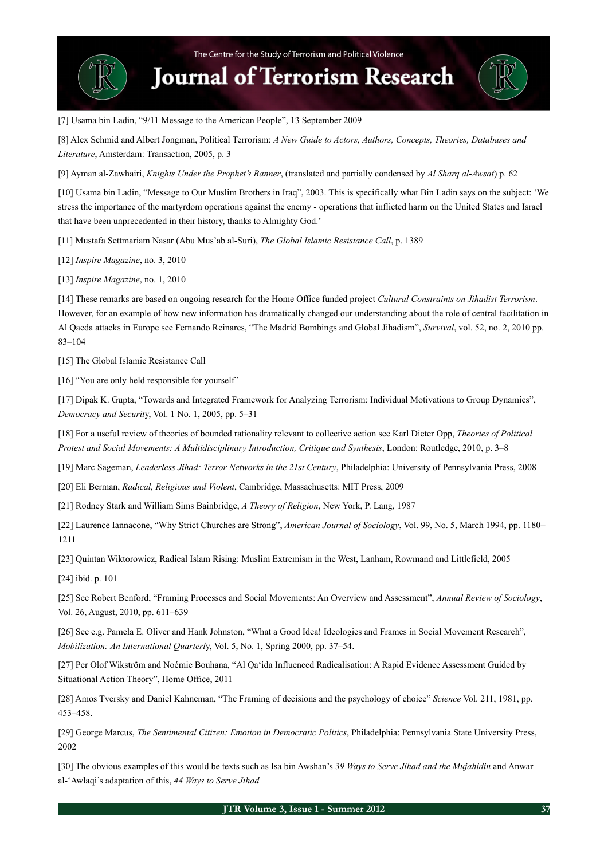[7] Usama bin Ladin, "9/11 Message to the American People", 13 September 2009

[8] Alex Schmid and Albert Jongman, Political Terrorism: *A New Guide to Actors, Authors, Concepts, Theories, Databases and Literature*, Amsterdam: Transaction, 2005, p. 3

[9] Ayman al-Zawhairi, *Knights Under the Prophet's Banner*, (translated and partially condensed by *Al Sharq al-Awsat*) p. 62

[10] Usama bin Ladin, "Message to Our Muslim Brothers in Iraq", 2003. This is specifically what Bin Ladin says on the subject: 'We stress the importance of the martyrdom operations against the enemy - operations that inflicted harm on the United States and Israel that have been unprecedented in their history, thanks to Almighty God.'

[11] Mustafa Settmariam Nasar (Abu Mus'ab al-Suri), *The Global Islamic Resistance Call*, p. 1389

[12] *Inspire Magazine*, no. 3, 2010

[13] *Inspire Magazine*, no. 1, 2010

[14] These remarks are based on ongoing research for the Home Office funded project *Cultural Constraints on Jihadist Terrorism*. However, for an example of how new information has dramatically changed our understanding about the role of central facilitation in Al Qaeda attacks in Europe see Fernando Reinares, "The Madrid Bombings and Global Jihadism", *Survival*, vol. 52, no. 2, 2010 pp. 83–104

[15] The Global Islamic Resistance Call

[16] "You are only held responsible for yourself"

[17] Dipak K. Gupta, "Towards and Integrated Framework for Analyzing Terrorism: Individual Motivations to Group Dynamics", *Democracy and Securit*y, Vol. 1 No. 1, 2005, pp. 5–31

[18] For a useful review of theories of bounded rationality relevant to collective action see Karl Dieter Opp, *Theories of Political Protest and Social Movements: A Multidisciplinary Introduction, Critique and Synthesis*, London: Routledge, 2010, p. 3–8

[19] Marc Sageman, *Leaderless Jihad: Terror Networks in the 21st Century*, Philadelphia: University of Pennsylvania Press, 2008

- [20] Eli Berman, *Radical, Religious and Violent*, Cambridge, Massachusetts: MIT Press, 2009
- [21] Rodney Stark and William Sims Bainbridge, *A Theory of Religion*, New York, P. Lang, 1987

[22] Laurence Iannacone, "Why Strict Churches are Strong", *American Journal of Sociology*, Vol. 99, No. 5, March 1994, pp. 1180– 1211

[23] Quintan Wiktorowicz, Radical Islam Rising: Muslim Extremism in the West, Lanham, Rowmand and Littlefield, 2005

[24] ibid. p. 101

[25] See Robert Benford, "Framing Processes and Social Movements: An Overview and Assessment", *Annual Review of Sociology*, Vol. 26, August, 2010, pp. 611–639

[26] See e.g. Pamela E. Oliver and Hank Johnston, "What a Good Idea! Ideologies and Frames in Social Movement Research", *Mobilization: An International Quarterl*y, Vol. 5, No. 1, Spring 2000, pp. 37–54.

[27] Per Olof Wikström and Noémie Bouhana, "Al Qa'ida Influenced Radicalisation: A Rapid Evidence Assessment Guided by Situational Action Theory", Home Office, 2011

[28] Amos Tversky and Daniel Kahneman, "The Framing of decisions and the psychology of choice" *Science* Vol. 211, 1981, pp. 453–458.

[29] George Marcus, *The Sentimental Citizen: Emotion in Democratic Politics*, Philadelphia: Pennsylvania State University Press, 2002

[30] The obvious examples of this would be texts such as Isa bin Awshan's *39 Ways to Serve Jihad and the Mujahidin* and Anwar al-'Awlaqi's adaptation of this, *44 Ways to Serve Jihad*